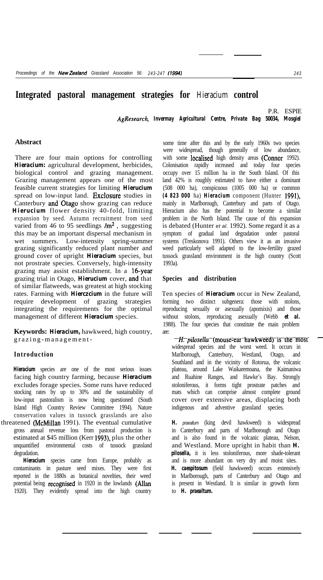# **Integrated pastoral management strategies for** *Hieracium* **control**

P.R. ESPIE *AgResearch, Invermay Agricultural Centre, Private Bag 50034, Mosgiel*

#### **Abstract**

There are four main options for controlling *Hieracium:* agricultural development, herbicides, biological control and grazing management. Grazing management appears one of the most feasible current strategies for limiting *Hierucium* spread on low-input land. Exclosure studies in Canterbury and Otago show grazing can reduce *Hierucium* flower density 40-fold, limiting expansion by seed. Autumn recruitment from seed varied from 46 to 95 seedlings  $\text{/m}^2$ , suggesting this may be an important dispersal mechanism in wet summers. Low-intensity spring-summer grazing significantly reduced plant number and ground cover of upright *Hieracium* species, but not prostrate species. Conversely, high-intensity grazing may assist establishment. In a 16-year grazing trial in Otago, *Hierucium* cover, an4 that of similar flatweeds, was greatest at high stocking rates. Farming with *Hierczcium* in the future will require development of grazing strategies integrating the requirements for the optimal management of different *Hieracium* species.

**Keywords:** *Hieracium,* hawkweed, high country, grazing-management-

### **Introduction**

*Hieracium* species are one of the most serious issues facing high country farming, because *Hieracium* excludes forage species. Some runs have reduced stocking rates by up to 30% and the sustainability of low-input pastoralism is now being questioned (South Island High Country Review Committee 1994). Nature conservation values in tussock grasslands are also threatened (McMillan 1991). The eventual cumulative

gross annual revenue loss from pastoral production is estimated at \$45 million (Kerr 1993), plus the other unquantified environmental costs of tussock grassland degradation.

*Hieracium* species came from Europe, probably as contaminants in pasture seed mixes. They were first reported in the 1880s as botanical novelties, their weed potential being recognised in 1920 in the lowlands (Allan 1920). They evidently spread into the high country

some time after this and by the early 1960s two species were widespread, though generally of low abundance, with some **localised** high density areas **(Connor** 1992). Colonisation rapidly increased and today four species occupy over 15 million ha in the South Island. Of this land 42% is roughly estimated to have either a dominant (508 000 ha), conspicuous (1005 000 ha) or common *(4 823 000* ha) *Hieracium* component (Hunter 1991), mainly in Marlborough, Canterbury and parts of Otago. Hieracium also has the potential to become a similar problem in the North Island. The cause of this expansion is debated (Hunter *et al.* 1992). Some regard it as a symptom of gradual land degradation under pastoral systems (Treskonova 1991). Others view it as an invasive weed particularly well adapted to the low-fertility grazed tussock grassland environment in the high country (Scott 1993a).

## **Species and distribution**

Ten species of *Hieracium* occur in New Zealand, forming two distinct subgenera: those with stolons, reproducing sexually or asexually (apomixis) and those without stolons, reproducing asexually (Webb *et al.* 1988). The four species that constitute the main problem are:

 $-H$ ;pilosella<sup>-</sup>(mouse-ear-hawkweed)-is the mostwidespread species and the worst weed. It occurs in Marlborough, Canterbury, Westland, Otago, and Southland and in the vicinity of Rotorua, the volcanic plateau, around Lake Waikaremoana, the Kaimaniwa and Ruahine Ranges, and Hawke's Bay. Strongly stoloniferous, it forms tight prostrate patches and mats which can comprise almost complete ground cover over extensive areas, displacing both indigenous and adventive grassland species.

*H. praealtum* (king devil hawkweed) is widespread in Canterbury and parts of Marlborough and Otago and is also found in the volcanic plateau, Nelson, and Westland. More upright in habit than *H. pilosella,* it is less stoloniferous, more shade-tolerant and is more abundant on very dry and moist sites. *H. caespitosum* (field hawkweed) occurs extensively in Marlborough, parts of Canterbury and Otago and is present in Westland. It is similar in growth form to *H. praealtum.*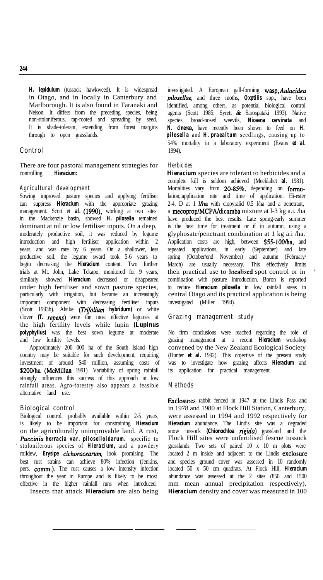*H. lepidulum* (tussock hawkweed). It is widespread in Otago, and in locally in Canterbury and Marlborough. It is also found in Taranaki and Nelson. It differs from the preceding species, being non-stoloniferous, tap-rooted and spreading by seed. It is shade-tolerant, extending from forest margins through to open grasslands.

## **Control**

There are four pastoral management strategies for controlling *Hieracium:*

## **Agricultural development**

Sowing improved pasture species and applying fertiliser can suppress *Hieracium* with the appropriate grazing management. Scott et *al.* (1990), working at two sites in the Mackenzie basin, showed *H. pilosella* remained dominant at nil or low fertiliser inputs. On a deep, moderately productive soil, it was reduced by legume introduction and high fertiliser application within 2 years, and was rare by 6 years. On a shallower, less productive soil, the legume sward took 5-6 years to begin decreasing the *Hieracium* content. Two further trials at Mt. John, Lake Tekapo, monitored for 9 years, similarly showed *Hieracium* decreased or disappeared under high fertiliser and sown pasture species, particularly with irrigation, but became an increasingly important component with decreasing fertiliser inputs (Scott 1993b). Alsike *(Trifolium hybridurn)* or white clover *(T. repens)* were the most effective legumes at the high fertility levels while lupin *(Lupinus polyphyllus)* was the best sown legume at moderate and low fertility levels.

Approximately 200 000 ha of the South Island high country may be suitable for such development, requiring investment of around \$40 million, assuming costs of \$200/ha (McMillan 1991). Variability of spring rainfall strongly influences this success of this approach in low rainfall areas. Agro-forestry also appears a feasible alternative land use.

#### **Biological control**

Biological control, probably available within 2-5 years, is likely to be important for constraining *Hieracium* on the agriculturally unimprovable land. A rust, *Puccinia herracia var. piloselloidarum.* specific to ' stoloniferous species of *Hieracium,* and a powdery mildew, *Erysipe cichoracearum*, look promising. The best rust strains can achieve 80% infection (Jenkins, pers. comm.). The rust causes a low intensity infection throughout the year in Europe and is likely to be most effective in the higher rainfall runs when introduced. Insects that attack *Hieracium* are also being

investigated. A European gall-forming *wasp,Aulacidea pilosellae,* and three moths, *Oxptilis* spp., have been identified, among others, as potential biological control agents (Scott 1985; Syrett & Sarospataki 1993). Native species, broad-nosed weevils, *Niceana cervinata* and *N. cinerea,* have recently been shown to feed on *H. pilosella* and *H. praealtum* seedlings, causing up to 54% mortality in a laboratory experiment (Evans *et al.* 1994).

#### **Herbicides**

*Hieracium* species are tolerant to herbicides and a complete kill is seldom achieved (Meeklahet *al.* 1981). Mortalities vary from 20-85%, depending on formulation,.application rate and time of application. Hi-ester 2-4, D at 1  $$ a mecoprop/MCPAldicamba mixture at l-3 kg a.i. /ha have produced the best results. Late spring-early summer is the best time for treatment or if in autumn, using a glyphosate/penetrant combination at 1 kg a.i /ha. Application costs are high, between \$55-100/ha, and repeated applications, in early (September) and late spring (October/end November) and autumn (February/ March) are usually necessary. This effectively limits their practical use to localised spot control or in combination with pasture introduction. Boron is reported to reduce *Hieracium pilosella* in low rainfall areas in central Otago and its practical application is being investigated (Miller 1994).

## **Grazing management study**

No firm conclusions were reached regarding the role of grazing management at a recent *Hieracium* workshop convened by the New Zealand Ecological Society (Hunter *et al.* 1992). This objective of the present study was to investigate how grazing affects *Hieracium* and its application for practical management.

## **Methods**

Exclosures rabbit fenced in 1947 at the Lindis Pass and in 1978 and 1980 at Flock Hill Station, Canterbury, were assessed in 1994 and 1992 respectively for *Hieracium* abundance. The Lindis site was a degraded snow tussock *(Chionochloa rigida)* grassland and the Flock Hill sites were unfertilised fescue tussock grasslands. Two sets of paired 10 x 10 m plots were located 2 m inside and adjacent to the Lindis exclosure and species ground cover was assessed in 10 randomly located 50 x 50 cm quadrats. At Flock Hill, *Hieracium* abundance was assessed at the 2 sites (850 and 1500 mm mean annual precipitation respectively). *Hieracium* density and cover was measured in 100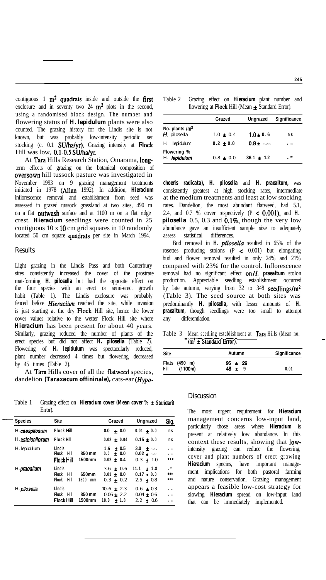contiguous  $1 \text{ m}^2$  quadrats inside and outside the first exclosure and in seventy two 24  $m^2$  plots in the second, using a randomised block design. The number and flowering status of *H. lepidulum* plants were also counted. The grazing history for the Lindis site is not known, but was probably low-intensity periodic set stocking (c. 0.1 SU/ha/yr). Grazing intensity at Flock Hill was low, 0.1-0.5 SU/ha/yr.

At Tara Hills Research Station, Omarama, longterm effects of grazing on the botanical composition of oversown hill tussock pasture was investigated in November 1993 on 9 grazing management treatments initiated in 1978 (Allan 1992). In addition, *Hieracium* inflorescence removal and establishment from seed was assessed in grazed tussock grassland at two sites, 490 m on a flat outwash surface and at 1100 m on a flat ridge crest. *Hieracium* seedlings were counted in 25 contiguous  $10 \times 10$  cm grid squares in 10 randomly located 50 cm square quadrats per site in March 1994.

### **Results**

Light grazing in the Lindis Pass and both Canterbury sites consistently increased the cover of the prostrate mat-forming *H. pilosella* but had the opposite effect on the four species with an erect or semi-erect growth habit (Table 1). The Lindis exclosure was probably fenced before *Hieraciiun* reached the site, while invasion is just starting at the dry Flock Hill site, hence the lower cover values relative to the wetter Flock Hill site where *Hieracium* has been present for about 40 years. Similarly, grazing reduced the number of plants of the erect species but did not affect *H. pilosella* (Table 2). Flowering of *H. lepidulum* was spectacularly reduced, plant number decreased 4 times but flowering decreased by 45 times (Table 2).

At Tara Hills cover of all the flatweed species, dandelion *(Taraxacum offininale),* cats-ear *(Hypo-*

Table 1 Grazing effect on *Hieracium cover (Mean cover %* ± Standard

| <b>Species</b>        | Site                                                       |                     | Grazed     |                                                | Ungrazed                                              | Sig.                                  |
|-----------------------|------------------------------------------------------------|---------------------|------------|------------------------------------------------|-------------------------------------------------------|---------------------------------------|
| <b>H.</b> caespitosum | <b>Flock Hill</b>                                          |                     | 0.0        | ± 0.0                                          | $0.01 \pm 0.0$                                        | n s                                   |
| H. xstoloniferum      | <b>Flock Hill</b>                                          |                     |            | $0.02 \pm 0.04$                                | $0.15 \pm 0.0$                                        | n s                                   |
| H.lepidulum           | Lindls<br>Flock<br>Hill<br><b>Flock Hill</b>               | 850 mm<br>1500mm    | 1.6<br>0.0 | ± 0.5<br>± 0.0<br>$0.02 \pm 0.4$               | 3.0 $\pm$ 0.0 $\pm$<br>$0.02 + 0.00$<br>$0.3 \pm 1.0$ | $\bullet$ FR<br>$\bullet$ FR<br>***   |
| H.praealtum           | Lindis<br>Hill<br>Flock<br><b>Flock</b><br>Hill            | 650mm<br>1500<br>mm |            | $3.6 \pm 0.6$<br>$0.01 \pm 0.0$<br>$0.3 + 0.2$ | 11.1<br>± 1.8<br>$0.17 - 0.0$<br>2.5<br>$\pm 0.8$     | $\mathbf{H}$<br>青素素<br>***            |
| H. pilosella          | <b>LIndis</b><br><b>Flock</b><br>Hill<br><b>Flock Hill</b> | 850 mm<br>1500mm    | 10.0       | $10.6 \pm 2.3$<br>$0.06 \pm 2.2$<br>± 1.8      | $0.6 \pm 0.3$<br>$0.04 \pm 0.6$<br>2.2<br>± 0.6       | $-67$<br>$\bullet$ FR<br>$\bullet$ FR |

|  |  | Table 2 Grazing effect on <b>Hieracium</b> plant number and |  |  |
|--|--|-------------------------------------------------------------|--|--|
|  |  | flowering at <b>Flock</b> Hill (Mean $\pm$ Standard Error). |  |  |

|                                  | Grazed        | Ungrazed       | Significance |
|----------------------------------|---------------|----------------|--------------|
| No. plants $/m2$<br>H. pilosella | $1.0 \pm 0.4$ | $1.0 \pm 0.6$  | n s          |
| Н.<br>lepidulum                  | $0.2 \pm 0.0$ | $0.8 \pm$ case | $\bullet$ FR |
| Flowering %<br>H. lepidulum      | $0.8 \pm 0.0$ | $36.1 \pm 1.2$ | $\star$      |

*choeris radicata), H. pilosella* and *H. praealtum,* was consistently greatest at high stocking rates, intermediate at the medium treatments and least at low stocking rates. Dandelion, the most abundant flatweed, had 5.1, 2.4, and 0.7 % cover respectively (P < O.OOl), and *H. pilosella* 0.5, 0.3 and  $\hat{0.1\%}$ , though the very low abundance gave an insufficient sample size to adequately assess statistical differences.

Bud removal in *H. pilosella* resulted in 65% of the rosettes producing stolons  $(P \lt 0.001)$  but elongating bud and flower removal resulted in only 24% and 21% compared with 23% for the control. Inflorescence removal had no significant effect onH. *praealtum* stolon production. Appreciable seedling establishment occurred by late autumn, varying from  $32$  to  $348$  seedlings/m<sup>2</sup> (Table 3). The seed source at both sites was predominantly *H. pilosella,* with lesser amounts of *H. praealtum,* though seedlings were too small to attempt any differentiation.

Table 3 Mean seedling establishment at **Tara** Hills (Mean no.  $-\frac{1}{\pi^2 \pm \text{Standard Error}}$ )

| Site |                          | Autumn                    | Significance |
|------|--------------------------|---------------------------|--------------|
| Hill | Flats (490 m)<br>(1100m) | $95 \pm 29$<br>$46 \pm 9$ | 0.01         |

#### Discussion

Error). The most urgent requirement for *Hieracium* management concerns low-input land, particularly those areas where *Hieracium* is present at relatively low abundance. In this context these results, showing that lowintensity grazing can reduce the flowering, cover and plant numbers of erect growing *Hieracium* species, have important management implications for both pastoral farming and nature conservation. Grazing management appears a feasible low-cost strategy for slowing *Hieracium* spread on low-input land that can be immediately implemented.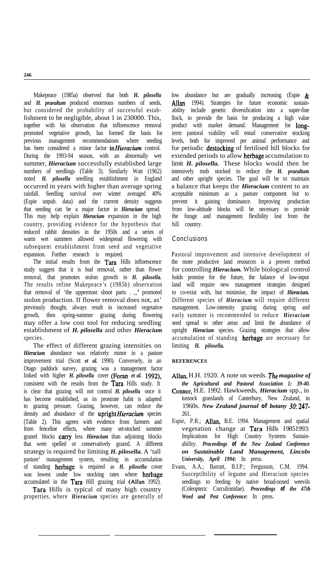Makepeace (1985a) observed that both *H. pilosella* and *H. praealtum* produced enormous numbers of seeds, but considered the probability of successful establishment to be negligible, about 1 in 230000. This, together with his observation that inflorescence removal promoted vegetative growth, has formed the basis for previous management recommendations where seeding has been considered a minor factor *in Hieracium* control. During the 1993-94 season, with an abnormally wet summer, *Hieracium* successfully established large numbers of seedlings (Table 3). Similarly Watt (1962) noted *H. pilosella* seedling establishment in England occurred in years with higher than average spring rainfall. Seedling survival over winter averaged 40% (Espie unpub. data) and the current density suggests that seeding can be a major factor in *Hieracium* spread. This may help explain *Hieracium* expansion in the high country, providing evidence for the hypothesis that reduced rabbit densities in the 1950s and a series of warm wet summers allowed widespread flowering with subsequent establishment from seed and vegetative expansion. Further research is required.

The initial results from the Tara Hills inflorescence study suggest that it is bud removal, rather than flower removal, that promotes stolon growth in *H. pilosella.* The results refine Makepeace's (1985b) observation that removal of 'the uppermost shoot parts . ..' promoted stolon production. If flower removal does not, as' previously thought, always result in increased vegetative growth, then spring-summer grazing during flowering may offer a low cost tool for reducing seedling establishment of *H. pilosella* and other *Hieracium* species.

The effect of different grazing intensities on *Hieracium* abundance was relatively minor in a pasture improvement trial (Scott *et al.* 1990). Conversely, in an Otago paddock survey, grazing was a management factor linked with higher *H. pilosella* cover (Foran *et al.* 1992), consistent with the results from the Tara Hills study. It is clear that grazing will not control *H. pilosella* once it has become established, as its prostrate habit is adapted to grazing pressure. Grazing, however, can reduce the density and abundance of the upright Hieracium species (Table 2). This agrees with evidence from farmers and from fenceline effects, where many set-stocked summer grazed blocks *carry* less *Hieracium* than adjoining blocks that were spelled or conservatively grazed. A different strategy is required for limiting *H. pilosella.* A 'tall pasture' management system, resulting in accumulation of standing herbage is required as *H. pilosella* cover was lowest under low stocking rates where herbage accumulated in the Tara Hill grazing trial (Allan 1992).

Tara Hills is typical of many high country properties, where *Hieracium* species are generally of low abundance but are gradually increasing (Espie & Allan 1994). Strategies for future economic sustainability include genetic diversification into a super-fine flock, to provide the basis for producing a high value product with market demand. Management for longterm pastoral viability will entail conservative stocking levels, both for improved per animal performance and for periodic destocking of fertilised hill blocks for extended periods to allow herbage accumulation to limit *H. pilosella.* These blocks would then be intensively mob stocked to reduce the *H. praealtum* and other upright species. The goal will be to maintain a balance that keeps the *Hieracium* content to an acceptable minimum as a pasture component but to prevent it gaining dominance. Improving production from low-altitude blocks will be necessary to provide the forage and management flexibility lost from the hill country.

## **Conclusions**

Pastoral improvement and intensive development of the more productive land resources is a proven method for controlling *Hieracium.* While biological control holds promise for the future, the balance of low-input land will require new management strategies designed to co-exist with, but minimise, the impact of *Hieracium.* Different species of *Hieracium* will require different management. Low-intensity grazing during spring and early summer is recommended to reduce *Hieracium* seed spread to other areas and limit the abundance of upright *Hieracium* species. Grazing strategies that allow accumulation of standing herbage are necessary for limiting *H. pilosella.*

## **REFERENCES**

- Allan, H.H. 1920. A note on weeds. *The magazine of the Agricultural and Pastoral Association 1: 39-40.*
- Connor, H.E. 1992. Hawkweeds, *Hieracium* spp., in tussock grasslands of Canterbury, New Zealand, in 1960s. *New Zealand journal of botany 30: 247-* 261.
- Espie, P.R.; Allan, B.E. 1994. Management and spatial vegetation change at Tara Hills 19851993: Implications for High Country Systems Sustainability. *Proceedings of the New Zealand Conference on Sustainable Land Management, Lincoln University, April 1994:* In press.
- Evans, A.A.; Barratt, B.I.P.; Fergusson, C.M. 1994. Susceptibility of legume and Hieracium species seedlings to feeding by native broad-nosed weevils (Coleoptera: Curculionidae). *Proceedings of the 47th Weed and Pest Conference:* In press.